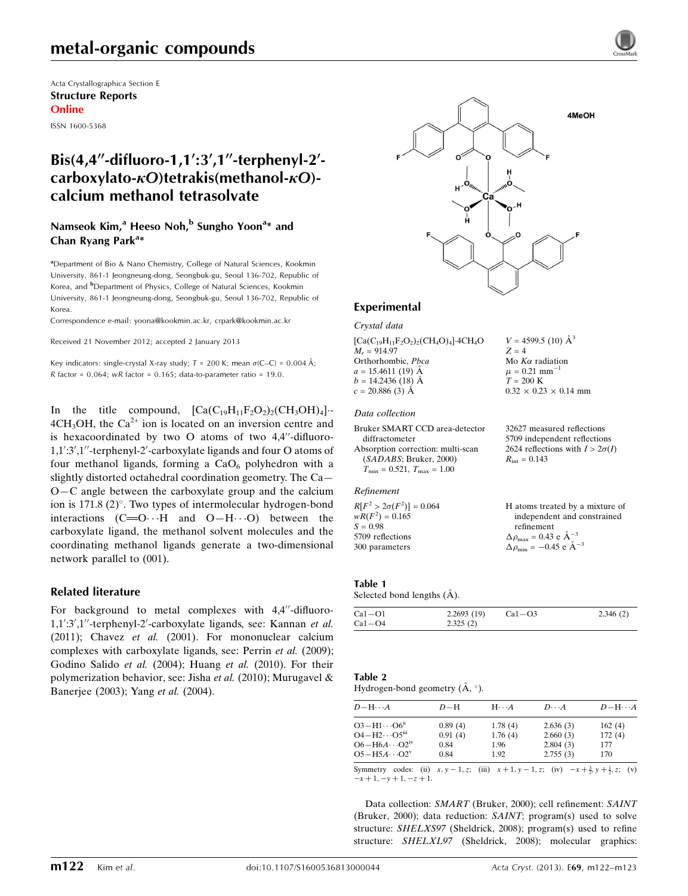# metal-organic compounds

Acta Crystallographica Section E Structure Reports Online

ISSN 1600-5368

## Bis(4,4"-difluoro-1,1':3',1"-terphenyl-2'carboxylato- $\kappa$ O)tetrakis(methanol- $\kappa$ O)calcium methanol tetrasolvate

#### Namseok Kim,<sup>a</sup> Heeso Noh,<sup>b</sup> Sungho Yoon<sup>a\*</sup> and Chan Ryang Park<sup>a\*</sup>

<sup>a</sup>Department of Bio & Nano Chemistry, College of Natural Sciences, Kookmin University, 861-1 Jeongneung-dong, Seongbuk-gu, Seoul 136-702, Republic of Korea, and <sup>b</sup>Department of Physics, College of Natural Sciences, Kookmin University, 861-1 Jeongneung-dong, Seongbuk-gu, Seoul 136-702, Republic of Korea.

Correspondence e-mail: [yoona@kookmin.ac.kr, crpark@kookmin.ac.kr](https://scripts.iucr.org/cgi-bin/cr.cgi?rm=pdfbb&cnor=ru2047&bbid=BB10)

Received 21 November 2012; accepted 2 January 2013

Key indicators: single-crystal X-ray study;  $T = 200$  K; mean  $\sigma$ (C–C) = 0.004 Å; R factor =  $0.064$ ; wR factor =  $0.165$ ; data-to-parameter ratio = 19.0.

In the title compound,  $[Ca(C_{19}H_{11}F_2O_2)_2(CH_3OH)_4]$ .  $4CH<sub>3</sub>OH$ , the Ca<sup>2+</sup> ion is located on an inversion centre and is hexacoordinated by two  $O$  atoms of two 4,4"-difluoro-1,1':3',1"-terphenyl-2'-carboxylate ligands and four O atoms of four methanol ligands, forming a  $CaO<sub>6</sub>$  polyhedron with a slightly distorted octahedral coordination geometry. The Ca— O—C angle between the carboxylate group and the calcium ion is  $171.8$  (2) $^{\circ}$ . Two types of intermolecular hydrogen-bond interactions  $(C=O \cdot \cdot \cdot H$  and  $O-H \cdot \cdot \cdot O$  between the carboxylate ligand, the methanol solvent molecules and the coordinating methanol ligands generate a two-dimensional network parallel to (001).

#### Related literature

For background to metal complexes with  $4,4^{\prime\prime}$ -difluoro-1,1':3',1"-terphenyl-2'-carboxylate ligands, see: Kannan et al. (2011); Chavez et al. (2001). For mononuclear calcium complexes with carboxylate ligands, see: Perrin et al. (2009); Godino Salido et al. (2004); Huang et al. (2010). For their polymerization behavior, see: Jisha *et al.* (2010); Murugavel  $\&$ Banerjee (2003); Yang et al. (2004).



 $V = 4599.5$  (10)  $\AA^3$ 

Mo  $K\alpha$  radiation  $\mu = 0.21$  mm<sup>-1</sup>  $T = 200$  K

 $R_{\rm int} = 0.143$ 

 $0.32 \times 0.23 \times 0.14$  mm

32627 measured reflections 5709 independent reflections 2624 reflections with  $I > 2\sigma(I)$ 

 $Z = 4$ 

#### Experimental

Crystal data

 $[Ca(C_{19}H_{11}F_2O_2)_2(CH_4O)_4]$ -4CH<sub>4</sub>O  $M<sub>r</sub> = 914.97$ Orthorhombic, Pbca  $a = 15.4611(19)$  Å  $b = 14.2436(18)$  Å  $c = 20.886(3)$  Å

#### Data collection

Bruker SMART CCD area-detector diffractometer Absorption correction: multi-scan (SADABS; Bruker, 2000)  $T_{\text{min}} = 0.521, T_{\text{max}} = 1.00$ 

#### Refinement

| $R[F^2 > 2\sigma(F^2)] = 0.064$ | H atoms treated by a mixture of                    |
|---------------------------------|----------------------------------------------------|
| $wR(F^2) = 0.165$               | independent and constrained                        |
| $S = 0.98$                      | refinement                                         |
| 5709 reflections                | $\Delta \rho_{\text{max}} = 0.43 \text{ e A}^{-3}$ |
| 300 parameters                  | $\Delta \rho_{\text{min}} = -0.45$ e $\AA^{-3}$    |
|                                 |                                                    |

#### Table 1

Selected bond lengths  $(\AA)$ .

| 2.325(2)<br>$Ca1-O4$ |  |
|----------------------|--|

| Table 2                                   |  |
|-------------------------------------------|--|
| Hydrogen-bond geometry $(\AA, \degree)$ . |  |

| $D - H \cdots A$                   | $D-H$   | $H\cdots A$ | $D\cdots A$ | $D - H \cdots A$ |
|------------------------------------|---------|-------------|-------------|------------------|
| $O3 - H1 \cdots O6^{n}$            | 0.89(4) | 1.78(4)     | 2.636(3)    | 162(4)           |
| $O4 - H2 \cdots O5$ <sup>iii</sup> | 0.91(4) | 1.76(4)     | 2.660(3)    | 172(4)           |
| $O6 - H6A \cdots O2$ <sup>iv</sup> | 0.84    | 1.96        | 2.804(3)    | 177              |
| $O5 - H5A \cdots O2^v$             | 0.84    | 1.92        | 2.755(3)    | 170              |
|                                    |         |             |             |                  |

Symmetry codes: (ii)  $x, y - 1, z$ ; (iii)  $x + 1, y - 1, z$ ; (iv)  $-x + \frac{3}{2}, y + \frac{1}{2}, z$ ; (v)  $-x + 1, -y + 1, -z + 1.$ 

Data collection: SMART (Bruker, 2000); cell refinement: SAINT (Bruker, 2000); data reduction: SAINT; program(s) used to solve structure: SHELXS97 (Sheldrick, 2008); program(s) used to refine structure: SHELXL97 (Sheldrick, 2008); molecular graphics: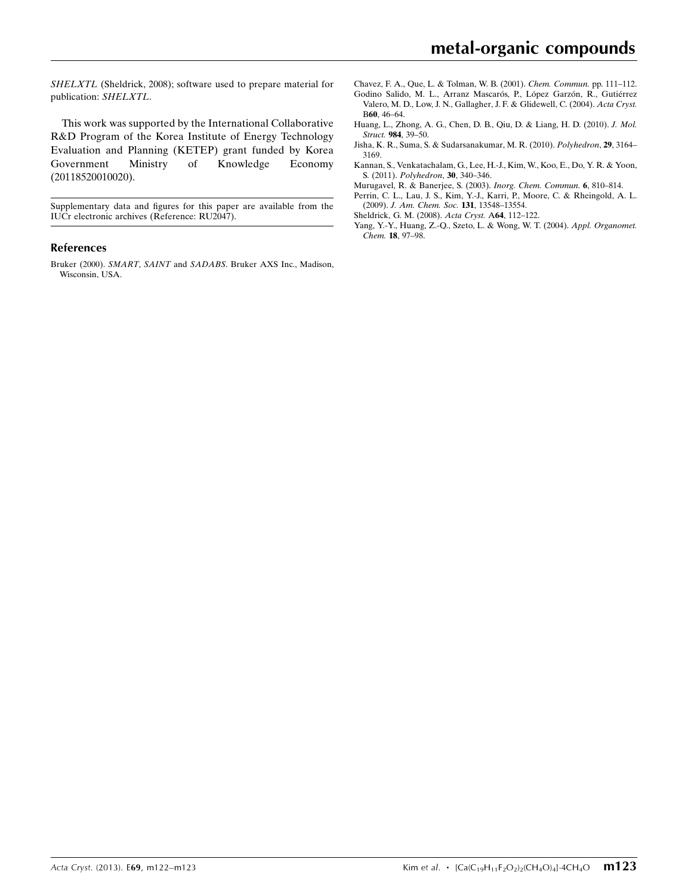SHELXTL (Sheldrick, 2008); software used to prepare material for publication: SHELXTL.

This work was supported by the International Collaborative R&D Program of the Korea Institute of Energy Technology Evaluation and Planning (KETEP) grant funded by Korea Government Ministry of Knowledge Economy (20118520010020).

Supplementary data and figures for this paper are available from the IUCr electronic archives (Reference: RU2047).

#### References

Bruker (2000). SMART, SAINT and SADABS[. Bruker AXS Inc., Madison,](https://scripts.iucr.org/cgi-bin/cr.cgi?rm=pdfbb&cnor=ru2047&bbid=BB1) [Wisconsin, USA.](https://scripts.iucr.org/cgi-bin/cr.cgi?rm=pdfbb&cnor=ru2047&bbid=BB1)

- [Chavez, F. A., Que, L. & Tolman, W. B. \(2001\).](https://scripts.iucr.org/cgi-bin/cr.cgi?rm=pdfbb&cnor=ru2047&bbid=BB2) Chem. Commun. pp. 111–112. Godino Salido, M. L., Arranz Mascarós, P., López Garzón, R., Gutiérrez
- [Valero, M. D., Low, J. N., Gallagher, J. F. & Glidewell, C. \(2004\).](https://scripts.iucr.org/cgi-bin/cr.cgi?rm=pdfbb&cnor=ru2047&bbid=BB3) Acta Cryst. B60[, 46–64.](https://scripts.iucr.org/cgi-bin/cr.cgi?rm=pdfbb&cnor=ru2047&bbid=BB3)
- [Huang, L., Zhong, A. G., Chen, D. B., Qiu, D. & Liang, H. D. \(2010\).](https://scripts.iucr.org/cgi-bin/cr.cgi?rm=pdfbb&cnor=ru2047&bbid=BB4) J. Mol. Struct. 984[, 39–50.](https://scripts.iucr.org/cgi-bin/cr.cgi?rm=pdfbb&cnor=ru2047&bbid=BB4)
- [Jisha, K. R., Suma, S. & Sudarsanakumar, M. R. \(2010\).](https://scripts.iucr.org/cgi-bin/cr.cgi?rm=pdfbb&cnor=ru2047&bbid=BB5) Polyhedron, 29, 3164– [3169.](https://scripts.iucr.org/cgi-bin/cr.cgi?rm=pdfbb&cnor=ru2047&bbid=BB5)
- [Kannan, S., Venkatachalam, G., Lee, H.-J., Kim, W., Koo, E., Do, Y. R. & Yoon,](https://scripts.iucr.org/cgi-bin/cr.cgi?rm=pdfbb&cnor=ru2047&bbid=BB6) S. (2011). [Polyhedron](https://scripts.iucr.org/cgi-bin/cr.cgi?rm=pdfbb&cnor=ru2047&bbid=BB6), 30, 340–346.
- [Murugavel, R. & Banerjee, S. \(2003\).](https://scripts.iucr.org/cgi-bin/cr.cgi?rm=pdfbb&cnor=ru2047&bbid=BB7) Inorg. Chem. Commun. 6, 810–814.
- [Perrin, C. L., Lau, J. S., Kim, Y.-J., Karri, P., Moore, C. & Rheingold, A. L.](https://scripts.iucr.org/cgi-bin/cr.cgi?rm=pdfbb&cnor=ru2047&bbid=BB8) (2009). [J. Am. Chem. Soc.](https://scripts.iucr.org/cgi-bin/cr.cgi?rm=pdfbb&cnor=ru2047&bbid=BB8) 131, 13548–13554.
- [Sheldrick, G. M. \(2008\).](https://scripts.iucr.org/cgi-bin/cr.cgi?rm=pdfbb&cnor=ru2047&bbid=BB9) Acta Cryst. A64, 112–122.
- [Yang, Y.-Y., Huang, Z.-Q., Szeto, L. & Wong, W. T. \(2004\).](https://scripts.iucr.org/cgi-bin/cr.cgi?rm=pdfbb&cnor=ru2047&bbid=BB10) Appl. Organomet. Chem. 18[, 97–98.](https://scripts.iucr.org/cgi-bin/cr.cgi?rm=pdfbb&cnor=ru2047&bbid=BB10)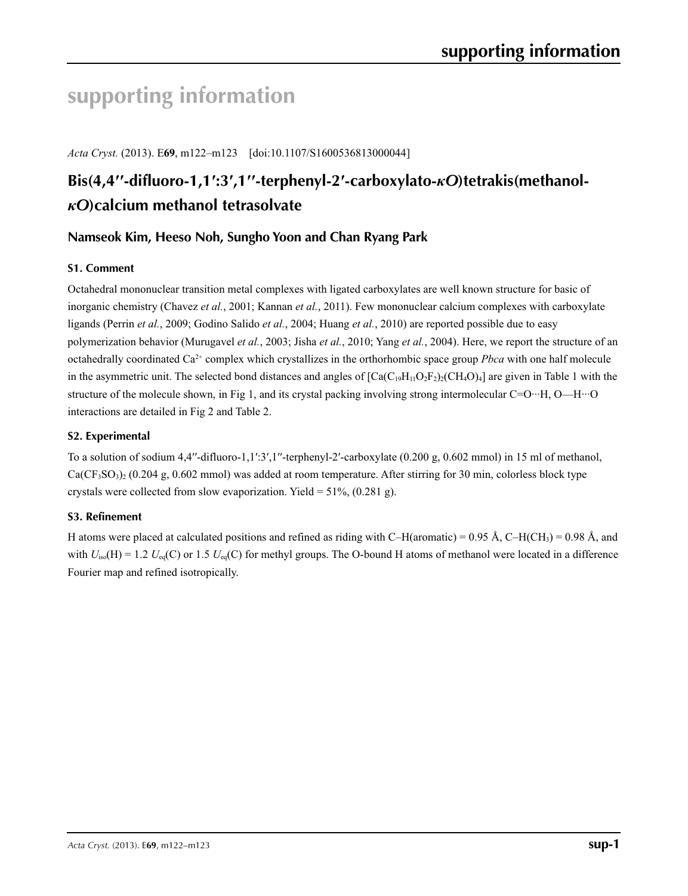# **supporting information**

*Acta Cryst.* (2013). E**69**, m122–m123 [doi:10.1107/S1600536813000044]

# **Bis(4,4′′-difluoro-1,1′:3′,1′′-terphenyl-2′-carboxylato-***κO***)tetrakis(methanol***κO***)calcium methanol tetrasolvate**

## **Namseok Kim, Heeso Noh, Sungho Yoon and Chan Ryang Park**

## **S1. Comment**

Octahedral mononuclear transition metal complexes with ligated carboxylates are well known structure for basic of inorganic chemistry (Chavez *et al.*, 2001; Kannan *et al.*, 2011). Few mononuclear calcium complexes with carboxylate ligands (Perrin *et al.*, 2009; Godino Salido *et al.*, 2004; Huang *et al.*, 2010) are reported possible due to easy polymerization behavior (Murugavel *et al.*, 2003; Jisha *et al.*, 2010; Yang *et al.*, 2004). Here, we report the structure of an octahedrally coordinated Ca2+ complex which crystallizes in the orthorhombic space group *Pbca* with one half molecule in the asymmetric unit. The selected bond distances and angles of  $[Ca(C<sub>19</sub>H<sub>11</sub>O<sub>2</sub>F<sub>2</sub>)<sub>2</sub>(CH<sub>4</sub>O<sub>4</sub>]$  are given in Table 1 with the structure of the molecule shown, in Fig 1, and its crystal packing involving strong intermolecular C=O…H, O—H…O interactions are detailed in Fig 2 and Table 2.

#### **S2. Experimental**

To a solution of sodium  $4.4''$ -difluoro-1,1':3',1"-terphenyl-2'-carboxylate (0.200 g, 0.602 mmol) in 15 ml of methanol,  $Ca(CF<sub>3</sub>SO<sub>3</sub>)<sub>2</sub>$  (0.204 g, 0.602 mmol) was added at room temperature. After stirring for 30 min, colorless block type crystals were collected from slow evaporization. Yield =  $51\%$ , (0.281 g).

#### **S3. Refinement**

H atoms were placed at calculated positions and refined as riding with C–H(aromatic) = 0.95 Å, C–H(CH<sub>3</sub>) = 0.98 Å, and with  $U_{iso}(H) = 1.2$   $U_{eq}(C)$  or 1.5  $U_{eq}(C)$  for methyl groups. The O-bound H atoms of methanol were located in a difference Fourier map and refined isotropically.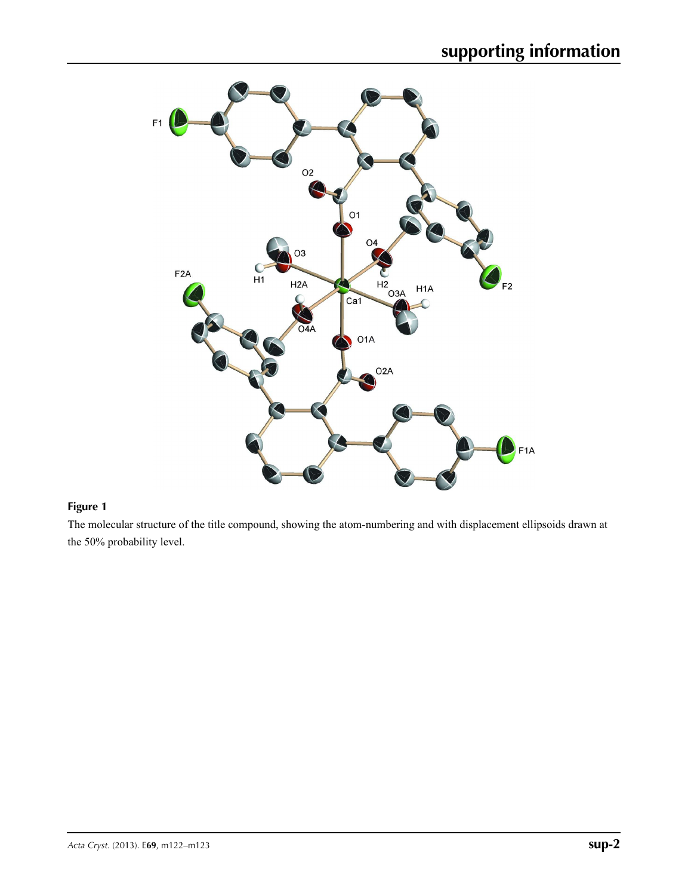

## **Figure 1**

The molecular structure of the title compound, showing the atom-numbering and with displacement ellipsoids drawn at the 50% probability level.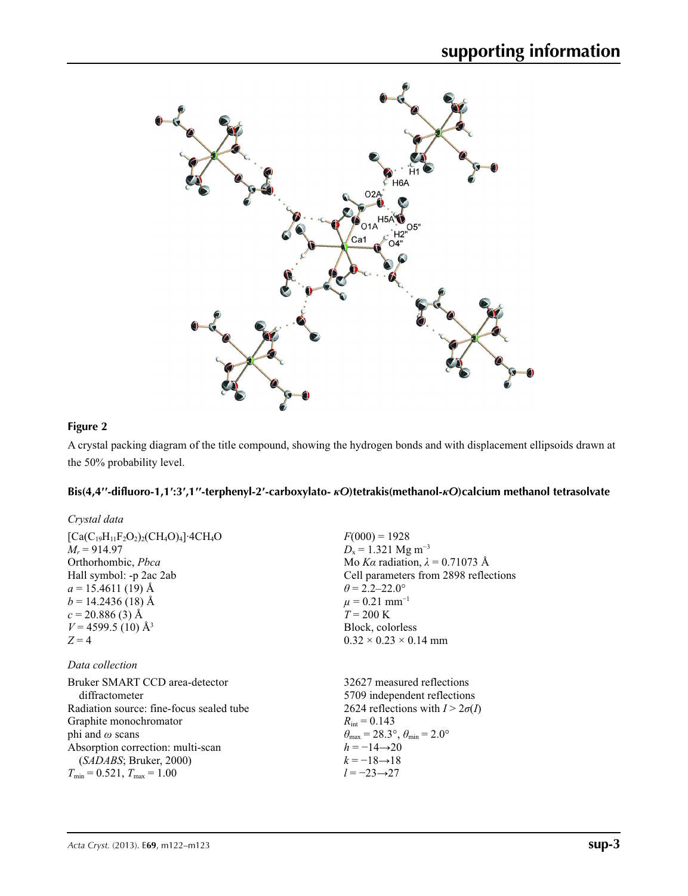

## **Figure 2**

A crystal packing diagram of the title compound, showing the hydrogen bonds and with displacement ellipsoids drawn at the 50% probability level.

## Bis(4,4"-difluoro-1,1':3',1"-terphenyl-2'-carboxylato- $\kappa$ O)tetrakis(methanol- $\kappa$ O)calcium methanol tetrasolvate

| Crystal data                                             |                                                                         |
|----------------------------------------------------------|-------------------------------------------------------------------------|
| $[Ca(C_{19}H_{11}F_2O_2)_2(CH_4O)_4]$ 4CH <sub>4</sub> O | $F(000) = 1928$                                                         |
| $M_r = 914.97$                                           | $D_x = 1.321$ Mg m <sup>-3</sup>                                        |
| Orthorhombic, <i>Pbca</i>                                | Mo Ka radiation, $\lambda = 0.71073$ Å                                  |
| Hall symbol: -p 2ac 2ab                                  | Cell parameters from 2898 reflections                                   |
| $a = 15.4611(19)$ Å                                      | $\theta$ = 2.2–22.0°                                                    |
| $b = 14.2436(18)$ Å                                      | $\mu = 0.21$ mm <sup>-1</sup>                                           |
| $c = 20.886(3)$ Å                                        | $T = 200 \text{ K}$                                                     |
| $V = 4599.5$ (10) Å <sup>3</sup>                         | Block, colorless                                                        |
| $Z=4$                                                    | $0.32 \times 0.23 \times 0.14$ mm                                       |
| Data collection                                          |                                                                         |
| Bruker SMART CCD area-detector                           | 32627 measured reflections                                              |
| diffractometer                                           | 5709 independent reflections                                            |
| Radiation source: fine-focus sealed tube                 | 2624 reflections with $I > 2\sigma(I)$                                  |
| Graphite monochromator                                   | $R_{\text{int}} = 0.143$                                                |
| phi and $\omega$ scans                                   | $\theta_{\text{max}} = 28.3^{\circ}, \theta_{\text{min}} = 2.0^{\circ}$ |
| Absorption correction: multi-scan                        | $h = -14 \rightarrow 20$                                                |
| (SADABS; Bruker, 2000)                                   | $k = -18 \rightarrow 18$                                                |
| $T_{\min} = 0.521$ , $T_{\max} = 1.00$                   | $l = -23 \rightarrow 27$                                                |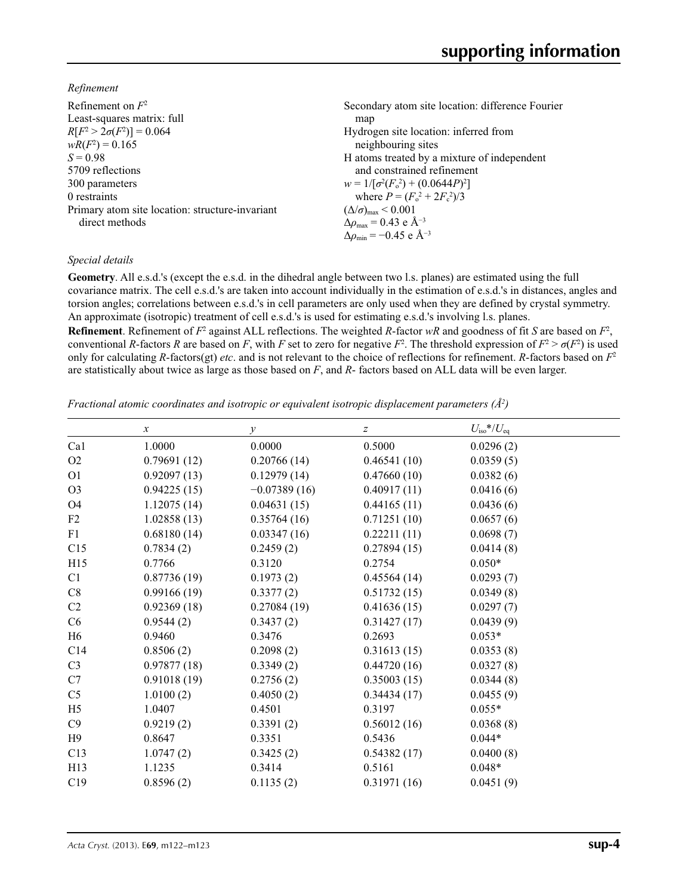*Refinement*

| Secondary atom site location: difference Fourier            |
|-------------------------------------------------------------|
| map                                                         |
| Hydrogen site location: inferred from                       |
| neighbouring sites                                          |
| H atoms treated by a mixture of independent                 |
| and constrained refinement                                  |
| $w = 1/[\sigma^2(F_0^2) + (0.0644P)^2]$                     |
| where $P = (F_0^2 + 2F_c^2)/3$                              |
| $(\Delta/\sigma)_{\text{max}}$ < 0.001                      |
| $\Delta\rho_{\text{max}} = 0.43 \text{ e } \text{\AA}^{-3}$ |
| $\Delta\rho_{\rm min} = -0.45$ e Å <sup>-3</sup>            |
|                                                             |

#### *Special details*

**Geometry**. All e.s.d.'s (except the e.s.d. in the dihedral angle between two l.s. planes) are estimated using the full covariance matrix. The cell e.s.d.'s are taken into account individually in the estimation of e.s.d.'s in distances, angles and torsion angles; correlations between e.s.d.'s in cell parameters are only used when they are defined by crystal symmetry. An approximate (isotropic) treatment of cell e.s.d.'s is used for estimating e.s.d.'s involving l.s. planes.

**Refinement**. Refinement of  $F^2$  against ALL reflections. The weighted *R*-factor  $wR$  and goodness of fit *S* are based on  $F^2$ , conventional *R*-factors *R* are based on *F*, with *F* set to zero for negative  $F^2$ . The threshold expression of  $F^2 > \sigma(F^2)$  is used only for calculating *R*-factors(gt) *etc*. and is not relevant to the choice of reflections for refinement. *R*-factors based on *F*<sup>2</sup> are statistically about twice as large as those based on *F*, and *R*- factors based on ALL data will be even larger.

*Fractional atomic coordinates and isotropic or equivalent isotropic displacement parameters (Å<sup>2</sup>)* 

|                 | $\mathcal{X}$ | $\mathcal{V}$  | $\boldsymbol{Z}$ | $U_{\text{iso}}$ */ $U_{\text{eq}}$ |
|-----------------|---------------|----------------|------------------|-------------------------------------|
| Ca1             | 1.0000        | 0.0000         | 0.5000           | 0.0296(2)                           |
| O2              | 0.79691(12)   | 0.20766(14)    | 0.46541(10)      | 0.0359(5)                           |
| O <sub>1</sub>  | 0.92097(13)   | 0.12979(14)    | 0.47660(10)      | 0.0382(6)                           |
| O <sub>3</sub>  | 0.94225(15)   | $-0.07389(16)$ | 0.40917(11)      | 0.0416(6)                           |
| <b>O4</b>       | 1.12075(14)   | 0.04631(15)    | 0.44165(11)      | 0.0436(6)                           |
| F2              | 1.02858(13)   | 0.35764(16)    | 0.71251(10)      | 0.0657(6)                           |
| F1              | 0.68180(14)   | 0.03347(16)    | 0.22211(11)      | 0.0698(7)                           |
| C15             | 0.7834(2)     | 0.2459(2)      | 0.27894(15)      | 0.0414(8)                           |
| H15             | 0.7766        | 0.3120         | 0.2754           | $0.050*$                            |
| C1              | 0.87736(19)   | 0.1973(2)      | 0.45564(14)      | 0.0293(7)                           |
| C8              | 0.99166(19)   | 0.3377(2)      | 0.51732(15)      | 0.0349(8)                           |
| C <sub>2</sub>  | 0.92369(18)   | 0.27084(19)    | 0.41636(15)      | 0.0297(7)                           |
| C6              | 0.9544(2)     | 0.3437(2)      | 0.31427(17)      | 0.0439(9)                           |
| H <sub>6</sub>  | 0.9460        | 0.3476         | 0.2693           | $0.053*$                            |
| C14             | 0.8506(2)     | 0.2098(2)      | 0.31613(15)      | 0.0353(8)                           |
| C <sub>3</sub>  | 0.97877(18)   | 0.3349(2)      | 0.44720(16)      | 0.0327(8)                           |
| C7              | 0.91018(19)   | 0.2756(2)      | 0.35003(15)      | 0.0344(8)                           |
| C <sub>5</sub>  | 1.0100(2)     | 0.4050(2)      | 0.34434(17)      | 0.0455(9)                           |
| H <sub>5</sub>  | 1.0407        | 0.4501         | 0.3197           | $0.055*$                            |
| C9              | 0.9219(2)     | 0.3391(2)      | 0.56012(16)      | 0.0368(8)                           |
| H9              | 0.8647        | 0.3351         | 0.5436           | $0.044*$                            |
| C13             | 1.0747(2)     | 0.3425(2)      | 0.54382(17)      | 0.0400(8)                           |
| H <sub>13</sub> | 1.1235        | 0.3414         | 0.5161           | $0.048*$                            |
| C19             | 0.8596(2)     | 0.1135(2)      | 0.31971(16)      | 0.0451(9)                           |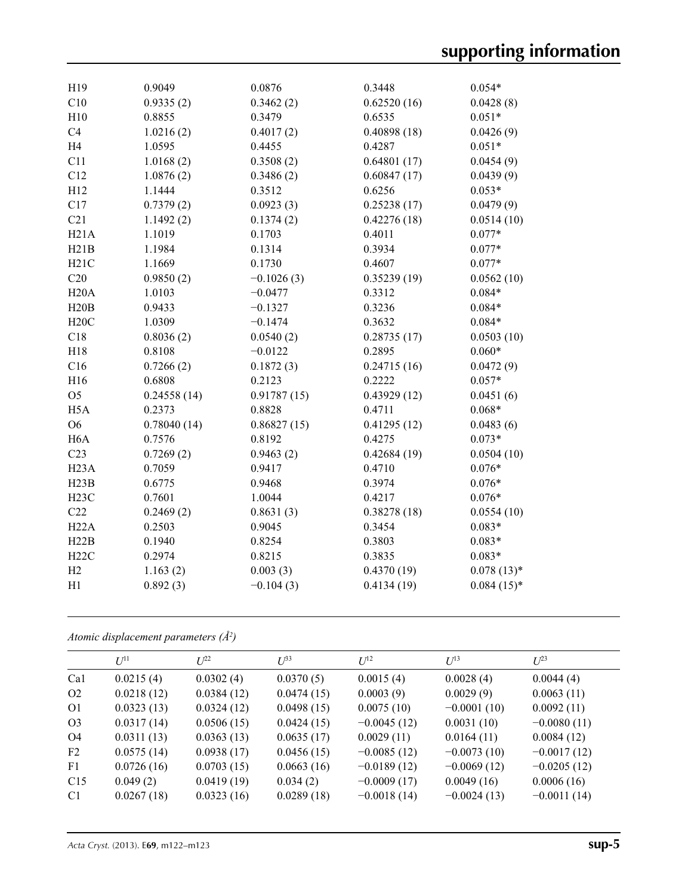| H19               | 0.9049      | 0.0876       | 0.3448      | $0.054*$     |
|-------------------|-------------|--------------|-------------|--------------|
| C10               | 0.9335(2)   | 0.3462(2)    | 0.62520(16) | 0.0428(8)    |
| H10               | 0.8855      | 0.3479       | 0.6535      | $0.051*$     |
| C4                | 1.0216(2)   | 0.4017(2)    | 0.40898(18) | 0.0426(9)    |
| H <sub>4</sub>    | 1.0595      | 0.4455       | 0.4287      | $0.051*$     |
| C11               | 1.0168(2)   | 0.3508(2)    | 0.64801(17) | 0.0454(9)    |
| C12               | 1.0876(2)   | 0.3486(2)    | 0.60847(17) | 0.0439(9)    |
| H12               | 1.1444      | 0.3512       | 0.6256      | $0.053*$     |
| C17               | 0.7379(2)   | 0.0923(3)    | 0.25238(17) | 0.0479(9)    |
| C21               | 1.1492(2)   | 0.1374(2)    | 0.42276(18) | 0.0514(10)   |
| H21A              | 1.1019      | 0.1703       | 0.4011      | $0.077*$     |
| H21B              | 1.1984      | 0.1314       | 0.3934      | $0.077*$     |
| H21C              | 1.1669      | 0.1730       | 0.4607      | $0.077*$     |
| C20               | 0.9850(2)   | $-0.1026(3)$ | 0.35239(19) | 0.0562(10)   |
| H20A              | 1.0103      | $-0.0477$    | 0.3312      | $0.084*$     |
| H20B              | 0.9433      | $-0.1327$    | 0.3236      | $0.084*$     |
| H20C              | 1.0309      | $-0.1474$    | 0.3632      | $0.084*$     |
| C18               | 0.8036(2)   | 0.0540(2)    | 0.28735(17) | 0.0503(10)   |
| H18               | 0.8108      | $-0.0122$    | 0.2895      | $0.060*$     |
| C16               | 0.7266(2)   | 0.1872(3)    | 0.24715(16) | 0.0472(9)    |
| H16               | 0.6808      | 0.2123       | 0.2222      | $0.057*$     |
| O <sub>5</sub>    | 0.24558(14) | 0.91787(15)  | 0.43929(12) | 0.0451(6)    |
| H <sub>5</sub> A  | 0.2373      | 0.8828       | 0.4711      | $0.068*$     |
| O <sub>6</sub>    | 0.78040(14) | 0.86827(15)  | 0.41295(12) | 0.0483(6)    |
| H <sub>6</sub> A  | 0.7576      | 0.8192       | 0.4275      | $0.073*$     |
| C23               | 0.7269(2)   | 0.9463(2)    | 0.42684(19) | 0.0504(10)   |
| H <sub>23</sub> A | 0.7059      | 0.9417       | 0.4710      | $0.076*$     |
| H23B              | 0.6775      | 0.9468       | 0.3974      | $0.076*$     |
| H23C              | 0.7601      | 1.0044       | 0.4217      | $0.076*$     |
| C22               | 0.2469(2)   | 0.8631(3)    | 0.38278(18) | 0.0554(10)   |
| H22A              | 0.2503      | 0.9045       | 0.3454      | $0.083*$     |
| H22B              | 0.1940      | 0.8254       | 0.3803      | $0.083*$     |
| H22C              | 0.2974      | 0.8215       | 0.3835      | $0.083*$     |
| H2                | 1.163(2)    | 0.003(3)     | 0.4370(19)  | $0.078(13)*$ |
| H1                | 0.892(3)    | $-0.104(3)$  | 0.4134(19)  | $0.084(15)*$ |
|                   |             |              |             |              |

*Atomic displacement parameters (Å2 )*

| I/I <sup>11</sup> | $L^{22}$   | $I^{\beta 3}$ | $I^{12}$      | $U^{13}$      | $L^{23}$      |
|-------------------|------------|---------------|---------------|---------------|---------------|
| 0.0215(4)         | 0.0302(4)  | 0.0370(5)     | 0.0015(4)     | 0.0028(4)     | 0.0044(4)     |
| 0.0218(12)        | 0.0384(12) | 0.0474(15)    | 0.0003(9)     | 0.0029(9)     | 0.0063(11)    |
| 0.0323(13)        | 0.0324(12) | 0.0498(15)    | 0.0075(10)    | $-0.0001(10)$ | 0.0092(11)    |
| 0.0317(14)        | 0.0506(15) | 0.0424(15)    | $-0.0045(12)$ | 0.0031(10)    | $-0.0080(11)$ |
| 0.0311(13)        | 0.0363(13) | 0.0635(17)    | 0.0029(11)    | 0.0164(11)    | 0.0084(12)    |
| 0.0575(14)        | 0.0938(17) | 0.0456(15)    | $-0.0085(12)$ | $-0.0073(10)$ | $-0.0017(12)$ |
| 0.0726(16)        | 0.0703(15) | 0.0663(16)    | $-0.0189(12)$ | $-0.0069(12)$ | $-0.0205(12)$ |
| 0.049(2)          | 0.0419(19) | 0.034(2)      | $-0.0009(17)$ | 0.0049(16)    | 0.0006(16)    |
| 0.0267(18)        | 0.0323(16) | 0.0289(18)    | $-0.0018(14)$ | $-0.0024(13)$ | $-0.0011(14)$ |
|                   |            |               |               |               |               |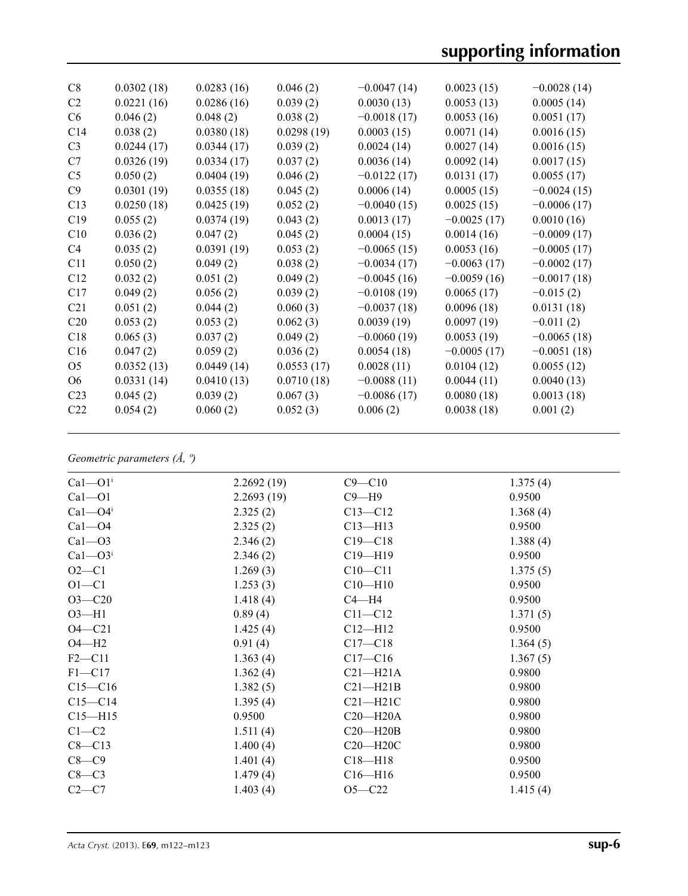| C8              | 0.0302(18) | 0.0283(16) | 0.046(2)   | $-0.0047(14)$ | 0.0023(15)    | $-0.0028(14)$ |
|-----------------|------------|------------|------------|---------------|---------------|---------------|
| C <sub>2</sub>  | 0.0221(16) | 0.0286(16) | 0.039(2)   | 0.0030(13)    | 0.0053(13)    | 0.0005(14)    |
| C <sub>6</sub>  | 0.046(2)   | 0.048(2)   | 0.038(2)   | $-0.0018(17)$ | 0.0053(16)    | 0.0051(17)    |
| C14             | 0.038(2)   | 0.0380(18) | 0.0298(19) | 0.0003(15)    | 0.0071(14)    | 0.0016(15)    |
| C <sub>3</sub>  | 0.0244(17) | 0.0344(17) | 0.039(2)   | 0.0024(14)    | 0.0027(14)    | 0.0016(15)    |
| C7              | 0.0326(19) | 0.0334(17) | 0.037(2)   | 0.0036(14)    | 0.0092(14)    | 0.0017(15)    |
| C <sub>5</sub>  | 0.050(2)   | 0.0404(19) | 0.046(2)   | $-0.0122(17)$ | 0.0131(17)    | 0.0055(17)    |
| C9              | 0.0301(19) | 0.0355(18) | 0.045(2)   | 0.0006(14)    | 0.0005(15)    | $-0.0024(15)$ |
| C13             | 0.0250(18) | 0.0425(19) | 0.052(2)   | $-0.0040(15)$ | 0.0025(15)    | $-0.0006(17)$ |
| C19             | 0.055(2)   | 0.0374(19) | 0.043(2)   | 0.0013(17)    | $-0.0025(17)$ | 0.0010(16)    |
| C10             | 0.036(2)   | 0.047(2)   | 0.045(2)   | 0.0004(15)    | 0.0014(16)    | $-0.0009(17)$ |
| C4              | 0.035(2)   | 0.0391(19) | 0.053(2)   | $-0.0065(15)$ | 0.0053(16)    | $-0.0005(17)$ |
| C11             | 0.050(2)   | 0.049(2)   | 0.038(2)   | $-0.0034(17)$ | $-0.0063(17)$ | $-0.0002(17)$ |
| C12             | 0.032(2)   | 0.051(2)   | 0.049(2)   | $-0.0045(16)$ | $-0.0059(16)$ | $-0.0017(18)$ |
| C17             | 0.049(2)   | 0.056(2)   | 0.039(2)   | $-0.0108(19)$ | 0.0065(17)    | $-0.015(2)$   |
| C <sub>21</sub> | 0.051(2)   | 0.044(2)   | 0.060(3)   | $-0.0037(18)$ | 0.0096(18)    | 0.0131(18)    |
| C20             | 0.053(2)   | 0.053(2)   | 0.062(3)   | 0.0039(19)    | 0.0097(19)    | $-0.011(2)$   |
| C18             | 0.065(3)   | 0.037(2)   | 0.049(2)   | $-0.0060(19)$ | 0.0053(19)    | $-0.0065(18)$ |
| C16             | 0.047(2)   | 0.059(2)   | 0.036(2)   | 0.0054(18)    | $-0.0005(17)$ | $-0.0051(18)$ |
| O <sub>5</sub>  | 0.0352(13) | 0.0449(14) | 0.0553(17) | 0.0028(11)    | 0.0104(12)    | 0.0055(12)    |
| O <sub>6</sub>  | 0.0331(14) | 0.0410(13) | 0.0710(18) | $-0.0088(11)$ | 0.0044(11)    | 0.0040(13)    |
| C <sub>23</sub> | 0.045(2)   | 0.039(2)   | 0.067(3)   | $-0.0086(17)$ | 0.0080(18)    | 0.0013(18)    |
| C <sub>22</sub> | 0.054(2)   | 0.060(2)   | 0.052(3)   | 0.006(2)      | 0.0038(18)    | 0.001(2)      |
|                 |            |            |            |               |               |               |

#### *Geometric parameters (Å, º)*

| $Ca1 - O1i$             | 2.2692(19) | $C9 - C10$   | 1.375(4) |
|-------------------------|------------|--------------|----------|
| $Ca1 - O1$              | 2.2693(19) | $C9 - H9$    | 0.9500   |
| $Ca1 - O4$ <sup>i</sup> | 2.325(2)   | $C13 - C12$  | 1.368(4) |
| $Ca1 - O4$              | 2.325(2)   | $C13 - H13$  | 0.9500   |
| $Ca1 - O3$              | 2.346(2)   | $C19 - C18$  | 1.388(4) |
| $Ca1 - O3i$             | 2.346(2)   | $C19 - H19$  | 0.9500   |
| $O2-C1$                 | 1.269(3)   | $C10 - C11$  | 1.375(5) |
| $O1 - C1$               | 1.253(3)   | $C10 - H10$  | 0.9500   |
| $O3 - C20$              | 1.418(4)   | $C4 - H4$    | 0.9500   |
| $O3 - H1$               | 0.89(4)    | $C11 - C12$  | 1.371(5) |
| $O4 - C21$              | 1.425(4)   | $C12 - H12$  | 0.9500   |
| $O4 - H2$               | 0.91(4)    | $C17 - C18$  | 1.364(5) |
| $F2 - C11$              | 1.363(4)   | $C17 - C16$  | 1.367(5) |
| $F1 - C17$              | 1.362(4)   | $C21 - H21A$ | 0.9800   |
| $C15 - C16$             | 1.382(5)   | $C21 - H21B$ | 0.9800   |
| $C15 - C14$             | 1.395(4)   | $C21 - H21C$ | 0.9800   |
| $C15 - H15$             | 0.9500     | $C20 - H20A$ | 0.9800   |
| $C1-C2$                 | 1.511(4)   | $C20 - H20B$ | 0.9800   |
| $C8 - C13$              | 1.400(4)   | $C20 - H20C$ | 0.9800   |
| $C8-C9$                 | 1.401(4)   | $C18 - H18$  | 0.9500   |
| $C8-C3$                 | 1.479(4)   | $C16 - H16$  | 0.9500   |
| $C2-C7$                 | 1.403(4)   | $O5 - C22$   | 1.415(4) |
|                         |            |              |          |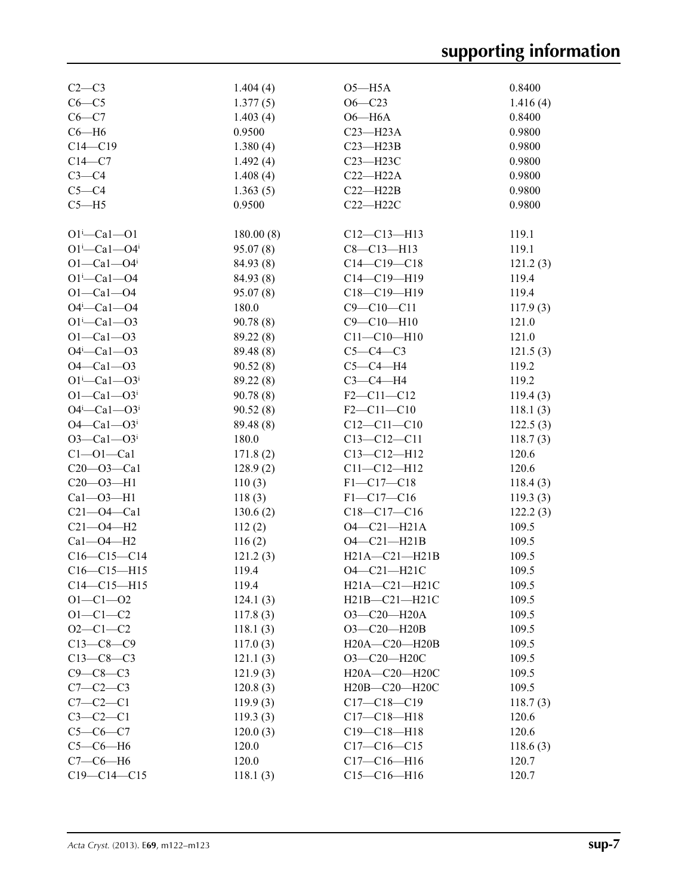| $C2-C3$                            | 1.404(4)  | $O5 - H5A$          | 0.8400   |
|------------------------------------|-----------|---------------------|----------|
| $C6-C5$                            | 1.377(5)  | $O6 - C23$          | 1.416(4) |
| $C6-C7$                            | 1.403(4)  | $O6 - H6A$          | 0.8400   |
| $C6 - H6$                          | 0.9500    | $C23 - H23A$        | 0.9800   |
| $C14 - C19$                        | 1.380(4)  | $C23 - H23B$        | 0.9800   |
| $C14-C7$                           | 1.492(4)  | $C23 - H23C$        | 0.9800   |
| $C3-C4$                            | 1.408(4)  | $C22-H22A$          | 0.9800   |
| $C5-C4$                            | 1.363(5)  | $C22 - H22B$        | 0.9800   |
| $C5 - H5$                          | 0.9500    | $C22 - H22C$        | 0.9800   |
|                                    |           |                     |          |
| $O1^i$ -Cal- $O1$                  | 180.00(8) | $C12-C13-H13$       | 119.1    |
| $O1^{i}$ -Ca $1$ --O4 <sup>i</sup> | 95.07(8)  | $C8 - C13 - H13$    | 119.1    |
| $O1 - Ca1 - O4$ <sup>i</sup>       | 84.93 (8) | $C14 - C19 - C18$   | 121.2(3) |
| $O1^i$ -Cal- $O4$                  | 84.93 (8) | $C14 - C19 - H19$   | 119.4    |
| $O1 - Ca1 - O4$                    | 95.07(8)  | $C18 - C19 - H19$   | 119.4    |
| O4i-Ca1-O4                         | 180.0     | $C9 - C10 - C11$    | 117.9(3) |
| $O1^i$ -Cal- $O3$                  | 90.78(8)  | $C9 - C10 - H10$    | 121.0    |
| $O1 - Ca1 - O3$                    | 89.22 (8) | $C11 - C10 - H10$   | 121.0    |
| $O4^i$ —Ca1—O3                     | 89.48 (8) | $C5-C4-C3$          | 121.5(3) |
| $O4 - Ca1 - O3$                    | 90.52(8)  | $C5-C4-H4$          | 119.2    |
| $O1^{i}$ - Cal - $O3^{i}$          | 89.22 (8) | $C3-C4-H4$          | 119.2    |
| $O1 - Ca1 - O3$                    | 90.78(8)  | $F2 - C11 - C12$    | 119.4(3) |
| $O4^i$ —Ca $1$ — $O3^i$            | 90.52(8)  | $F2 - C11 - C10$    | 118.1(3) |
| $O4 - Ca1 - O3$ <sup>i</sup>       | 89.48 (8) | $C12 - C11 - C10$   | 122.5(3) |
| $O3 - Ca1 - O3$                    | 180.0     | $C13 - C12 - C11$   | 118.7(3) |
| $Cl$ -Ol-Cal                       | 171.8(2)  | $C13 - C12 - H12$   | 120.6    |
| $C20 - O3 - Ca1$                   | 128.9(2)  | $C11 - C12 - H12$   | 120.6    |
| $C20 - 03 - H1$                    | 110(3)    | $F1 - C17 - C18$    | 118.4(3) |
| $Ca1 - O3 - H1$                    | 118(3)    | $F1 - C17 - C16$    | 119.3(3) |
| $C21 - O4 - Ca1$                   | 130.6(2)  | $C18-C17-C16$       | 122.2(3) |
| $C21 - O4 - H2$                    | 112(2)    | $O4 - C21 - H21A$   | 109.5    |
| $Ca1 - O4 - H2$                    | 116(2)    | $O4 - C21 - H21B$   | 109.5    |
| $C16-C15-C14$                      | 121.2(3)  | $H21A - C21 - H21B$ | 109.5    |
| $C16-C15-H15$                      | 119.4     | O4-C21-H21C         | 109.5    |
| $C14 - C15 - H15$                  | 119.4     | H21A-C21-H21C       | 109.5    |
| $O1 - C1 - O2$                     | 124.1(3)  | $H21B - C21 - H21C$ | 109.5    |
| $O1 - C1 - C2$                     | 117.8(3)  | O3-C20-H20A         | 109.5    |
| $O2 - C1 - C2$                     | 118.1(3)  | O3-C20-H20B         | 109.5    |
| $C13-C8-C9$                        | 117.0(3)  | $H20A - C20 - H20B$ | 109.5    |
| $C13-C8-C3$                        | 121.1(3)  | O3-C20-H20C         | 109.5    |
| $C9-C8-C3$                         | 121.9(3)  | H20A-C20-H20C       | 109.5    |
| $C7-C2-C3$                         | 120.8(3)  | H20B-C20-H20C       | 109.5    |
| $C7-C2-C1$                         | 119.9(3)  | $C17 - C18 - C19$   | 118.7(3) |
| $C3-C2-C1$                         | 119.3(3)  | $C17 - C18 - H18$   | 120.6    |
| $C5 - C6 - C7$                     | 120.0(3)  | $C19 - C18 - H18$   | 120.6    |
| $C5-C6-H6$                         | 120.0     | $C17-C16-C15$       | 118.6(3) |
| $C7-C6-H6$                         | 120.0     | $C17 - C16 - H16$   | 120.7    |
| $C19 - C14 - C15$                  | 118.1(3)  | $C15-C16-H16$       | 120.7    |